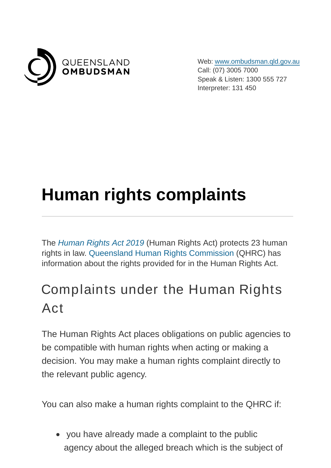

Web: [www.ombudsman.qld.gov.au](https://www.ombudsman.qld.gov.au/) Call: (07) 3005 7000 Speak & Listen: 1300 555 727 Interpreter: 131 450

## **Human rights complaints**

The [Human Rights Act 2019](https://www.legislation.qld.gov.au/view/pdf/asmade/act-2019-005) (Human Rights Act) protects 23 human rights in law. [Queensland Human Rights Commission](https://www.qhrc.qld.gov.au/) (QHRC) has information about the rights provided for in the Human Rights Act.

## Complaints under the Human Rights Act

The Human Rights Act places obligations on public agencies to be compatible with human rights when acting or making a decision. You may make a human rights complaint directly to the relevant public agency.

You can also make a human rights complaint to the QHRC if:

 you have already made a complaint to the public agency about the alleged breach which is the subject of